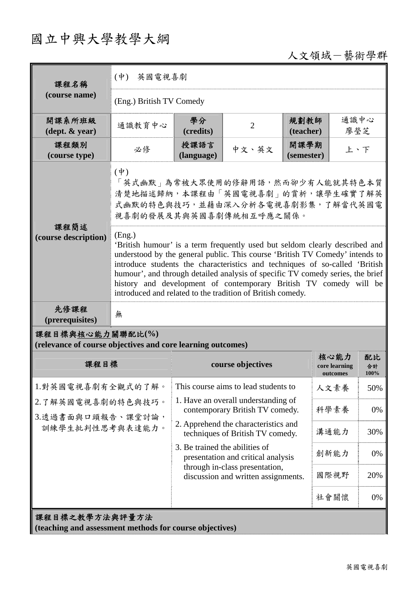# 國立中興大學教學大綱

## 人文領域-藝術學群

| 課程名稱                                                                            | (中) 英國電視喜劇                                                                                                                                                                                                                                                                                                                                                                                                                                                                |                                                                                                                                                                                            |                   |                    |                                   |                  |  |
|---------------------------------------------------------------------------------|---------------------------------------------------------------------------------------------------------------------------------------------------------------------------------------------------------------------------------------------------------------------------------------------------------------------------------------------------------------------------------------------------------------------------------------------------------------------------|--------------------------------------------------------------------------------------------------------------------------------------------------------------------------------------------|-------------------|--------------------|-----------------------------------|------------------|--|
| (course name)                                                                   | (Eng.) British TV Comedy                                                                                                                                                                                                                                                                                                                                                                                                                                                  |                                                                                                                                                                                            |                   |                    |                                   |                  |  |
| 開課系所班級<br>$(\text{dept.} \& \text{ year})$                                      | 通識教育中心                                                                                                                                                                                                                                                                                                                                                                                                                                                                    | 學分<br>(credits)                                                                                                                                                                            | $\overline{2}$    | 規劃教師<br>(teacher)  | 通識中心<br>廖瑩芝                       |                  |  |
| 課程類別<br>(course type)                                                           | 必修                                                                                                                                                                                                                                                                                                                                                                                                                                                                        | 授課語言<br>(language)                                                                                                                                                                         | 中文、英文             | 開課學期<br>(semester) | 上、下                               |                  |  |
|                                                                                 | $(\phi)$<br>「英式幽默」為常被大眾使用的修辭用語,然而卻少有人能就其特色本質<br>清楚地描述歸納,本課程由「英國電視喜劇」的賞析,讓學生確實了解英<br>式幽默的特色與技巧,並藉由深入分析各電視喜劇影集,了解當代英國電<br>視喜劇的發展及其與英國喜劇傳統相互呼應之關係。                                                                                                                                                                                                                                                                                                                           |                                                                                                                                                                                            |                   |                    |                                   |                  |  |
| 課程簡述<br>(course description)                                                    | (Eng.)<br>'British humour' is a term frequently used but seldom clearly described and<br>understood by the general public. This course 'British TV Comedy' intends to<br>introduce students the characteristics and techniques of so-called 'British<br>humour', and through detailed analysis of specific TV comedy series, the brief<br>history and development of contemporary British TV comedy will be<br>introduced and related to the tradition of British comedy. |                                                                                                                                                                                            |                   |                    |                                   |                  |  |
| 先修課程<br>(prerequisites)                                                         | 無                                                                                                                                                                                                                                                                                                                                                                                                                                                                         |                                                                                                                                                                                            |                   |                    |                                   |                  |  |
| 課程目標與核心能力關聯配比(%)<br>(relevance of course objectives and core learning outcomes) |                                                                                                                                                                                                                                                                                                                                                                                                                                                                           |                                                                                                                                                                                            |                   |                    |                                   |                  |  |
| 課程目標                                                                            |                                                                                                                                                                                                                                                                                                                                                                                                                                                                           |                                                                                                                                                                                            | course objectives |                    | 核心能力<br>core learning<br>outcomes | 配比<br>合計<br>100% |  |
| 1.對英國電視喜劇有全觀式的了解。                                                               |                                                                                                                                                                                                                                                                                                                                                                                                                                                                           | This course aims to lead students to<br>1. Have an overall understanding of<br>contemporary British TV comedy.<br>2. Apprehend the characteristics and<br>techniques of British TV comedy. |                   |                    | 人文素養                              | 50%              |  |
| 2.了解英國電視喜劇的特色與技巧。                                                               |                                                                                                                                                                                                                                                                                                                                                                                                                                                                           |                                                                                                                                                                                            |                   |                    | 科學素養                              | 0%               |  |
| 3.透過書面與口頭報告、課堂討論,<br>訓練學生批判性思考與表達能力。                                            |                                                                                                                                                                                                                                                                                                                                                                                                                                                                           |                                                                                                                                                                                            |                   |                    | 溝通能力                              | 30%              |  |
|                                                                                 |                                                                                                                                                                                                                                                                                                                                                                                                                                                                           | 3. Be trained the abilities of<br>presentation and critical analysis                                                                                                                       |                   |                    | 創新能力                              | 0%               |  |
|                                                                                 |                                                                                                                                                                                                                                                                                                                                                                                                                                                                           | through in-class presentation,<br>discussion and written assignments.                                                                                                                      |                   |                    | 國際視野                              | 20%              |  |
|                                                                                 |                                                                                                                                                                                                                                                                                                                                                                                                                                                                           |                                                                                                                                                                                            |                   |                    | 社會關懷                              | 0%               |  |
| 課程目標之教學方法與評量方法<br>(teaching and assessment methods for course objectives)       |                                                                                                                                                                                                                                                                                                                                                                                                                                                                           |                                                                                                                                                                                            |                   |                    |                                   |                  |  |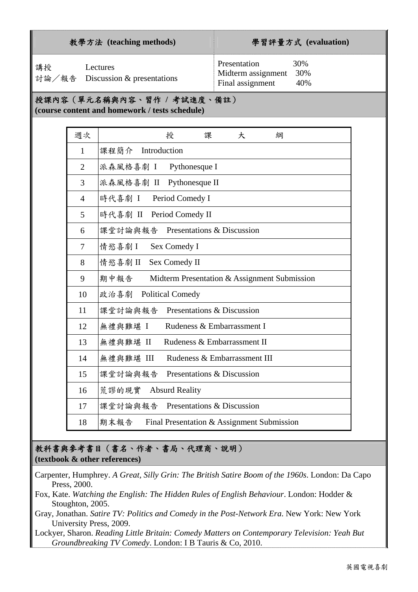| 教學方法 (teaching methods)                                                      |                | 學習評量方式 (evaluation)                                                         |  |  |  |  |
|------------------------------------------------------------------------------|----------------|-----------------------------------------------------------------------------|--|--|--|--|
| 講授<br>Lectures<br>討論/報告 Discussion & presentations                           |                | 30%<br>Presentation<br>30%<br>Midterm assignment<br>Final assignment<br>40% |  |  |  |  |
| 授課內容(單元名稱與內容、習作 / 考試進度、備註)<br>(course content and homework / tests schedule) |                |                                                                             |  |  |  |  |
|                                                                              | 週次             | 授<br>課<br>大<br>綱                                                            |  |  |  |  |
|                                                                              | 1              | 課程簡介 Introduction                                                           |  |  |  |  |
|                                                                              | $\overline{2}$ | 派森風格喜劇 I Pythonesque I                                                      |  |  |  |  |
|                                                                              | 3              | 派森風格喜劇 II Pythonesque II                                                    |  |  |  |  |
|                                                                              | $\overline{4}$ | 時代喜劇 I Period Comedy I                                                      |  |  |  |  |
|                                                                              | 5              | 時代喜劇 II Period Comedy II                                                    |  |  |  |  |
|                                                                              | 6              | 課堂討論與報告 Presentations & Discussion                                          |  |  |  |  |
|                                                                              | $\overline{7}$ | 情慾喜劇I<br>Sex Comedy I                                                       |  |  |  |  |
|                                                                              | 8              | 情慾喜劇 II Sex Comedy II                                                       |  |  |  |  |
|                                                                              | 9              | 期中報告<br>Midterm Presentation & Assignment Submission                        |  |  |  |  |
|                                                                              | 10             | 政治喜劇 Political Comedy                                                       |  |  |  |  |
|                                                                              | 11             | 課堂討論與報告 Presentations & Discussion                                          |  |  |  |  |
|                                                                              | 12             | 無禮與難堪 I<br>Rudeness & Embarrassment I                                       |  |  |  |  |
|                                                                              | 13             | 無禮與難堪 II Rudeness & Embarrassment II                                        |  |  |  |  |
|                                                                              | 14             | Rudeness & Embarrassment III<br>無禮與難堪 III                                   |  |  |  |  |
|                                                                              | 15             | Presentations & Discussion<br>課堂討論與報告                                       |  |  |  |  |
|                                                                              | 16             | 荒謬的現實<br><b>Absurd Reality</b>                                              |  |  |  |  |
|                                                                              | 17             | Presentations & Discussion<br>課堂討論與報告                                       |  |  |  |  |
|                                                                              | 18             | 期末報告<br>Final Presentation & Assignment Submission                          |  |  |  |  |

## 教科書與參考書目(書名、作者、書局、代理商、說明) **(textbook & other references)**

Carpenter, Humphrey. *A Great, Silly Grin: The British Satire Boom of the 1960s*. London: Da Capo Press, 2000.

Fox, Kate. *Watching the English: The Hidden Rules of English Behaviour*. London: Hodder & Stoughton, 2005.

Gray, Jonathan. *Satire TV: Politics and Comedy in the Post-Network Era*. New York: New York University Press, 2009.

Lockyer, Sharon. *Reading Little Britain: Comedy Matters on Contemporary Television: Yeah But Groundbreaking TV Comedy*. London: I B Tauris & Co, 2010.